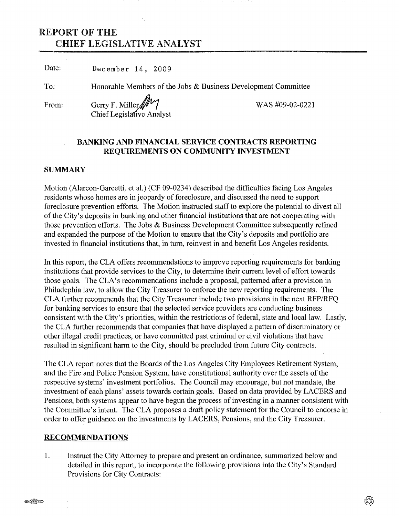# REPORT OF THE CHIEF LEGISLATIVE ANALYST

Date: December 14, 2009

To: Honorable Members of the Jobs & Business Development Committee

From:

## Gerry F. Miller *iIV/* WAS #09-02-0221 Chief Legislative Analyst

## BANKING AND FINANCIAL SERVICE CONTRACTS REPORTING REQUIREMENTS ON COMMUNITY INVESTMENT

## **SUMMARY**

Motion (Alarcon-Garcetti, et al.) (CF 09-0234) described the difficulties facing Los Angeles residents whose homes are in jeopardy of foreclosure, and discussed the need to support foreclosure prevention efforts. The Motion instructed staff to explore the potential to divest all of the City's deposits in banking and other financial institutions that are not cooperating with those prevention efforts. The Jobs  $\&$  Business Development Committee subsequently refined and expanded the purpose of the Motion to ensure that the City's deposits and portfolio are invested in financial institutions that, in turn, reinvest in and benefit Los Angeles residents.

In this report, the CLA offers recommendations to improve reporting requirements for banking institutions that provide services to the City, to determine their current level of effort towards those goals. The CLA's recommendations include a proposal, patterned after a provision in Philadephia law, to allow the City Treasurer to enforce the new reporting requirements. The CLA further recommends that the City Treasurer include two provisions in the next *RFP/RFQ* for banking services to ensure that the selected service providers are conducting business consistent with the City's priorities, within the restrictions of federal, state and local law. Lastly, the CLA further recommends that companies that have displayed a pattern of discriminatory or other illegal credit practices, or have committed past criminal or civil violations that have resulted in significant harm to the City, should be precluded from future City contracts.

The CLA report notes that the Boards of the Los Angeles City Employees Retirement System, and the Fire and Police Pension System, have constitutional authority over the assets of the respective systems' investment portfolios. The Council may encourage, but not mandate, the investment of each plans' assets towards certain goals. Based on data provided by LACERS and Pensions, both systems appear to have begun the process of investing in a manner consistent with the Committee's intent. The CLA proposes a draft policy statement for the Council to endorse in order to offer guidance on the investments by LACERS, Pensions, and the City Treasurer.

#### RECOMMENDATIONS

1. Instruct the City Attorney to prepare and present an ordinance, summarized below and detailed in this report, to incorporate the following provisions into the City's Standard Provisions for City Contracts: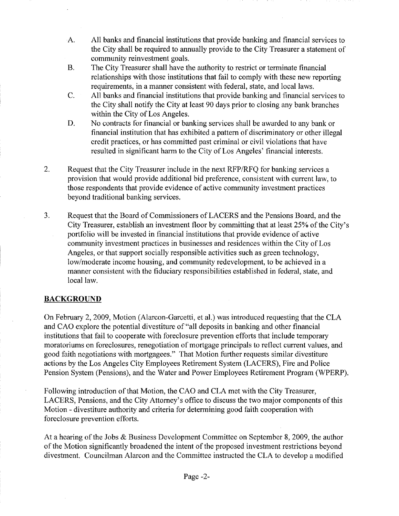- A. All banks and financial institutions that provide banking and financial services to the City shall be required to annually provide to the City Treasurer a statement of community reinvestment goals.
- B. The City Treasurer shall have the authority to restrict or terminate financial relationships with those institutions that fail to comply with these new reporting requirements, in a manner consistent with federal, state, and local laws.
- C. All banks and financial institutions that provide banking and financial services to the City shall notify the City at least 90 days prior to closing any bank branches within the City of Los Angeles.
- D. No contracts for financial or banking services shall be awarded to any bank or financial institution that has exhibited a pattern of discriminatory or other illegal credit practices, or has committed past criminal or civil violations that have resulted in significant harm to the City of Los Angeles' financial interests.
- 2. Request that the City Treasurer include in the next RFP/RFQ for banking services a provision that would provide additional bid preference, consistent with current law, to those respondents that provide evidence of active community investment practices beyond traditional banking services.
- 3. Request that the Board of Commissioners of LACERS and the Pensions Board, and the City Treasurer, establish an investment floor by committing that at least 25% of the City's portfolio will be invested in financial institutions that provide evidence of active community investment practices in businesses and residences within the City of Los Angeles, or that support socially responsible activities such as green technology, low/moderate income housing, and community redevelopment, to be achieved in a manner consistent with the fiduciary responsibilities established in federal, state, and local law.

## **BACKGROUND**

On February 2, 2009, Motion (Alarcon-Garcetti, et al.) was introduced requesting that the CLA and CAD explore the potential divestiture of "all deposits in banking and other financial institutions that fail to cooperate with foreclosure prevention efforts that include temporary moratoriums on foreclosures, renegotiation of mortgage principals to reflect current values, and good faith negotiations with mortgagees." That Motion further requests similar divestiture actions by the Los Angeles City Employees Retirement System (LACERS), Fire and Police Pension System (Pensions), and the Water and Power Employees Retirement Program (WPERP).

Following introduction of that Motion, the CAO and CLA met with the City Treasurer, LACERS, Pensions, and the City Attorney's office to discuss the two major components of this Motion - divestiture authority and criteria for determining good faith cooperation with foreclosure prevention efforts.

At a hearing of the Jobs & Business Development Committee on September 8, 2009, the author of the Motion significantly broadened the intent of the proposed investment restrictions beyond divestment. Councilman Alarcon and the Committee instructed the CLA to develop a modified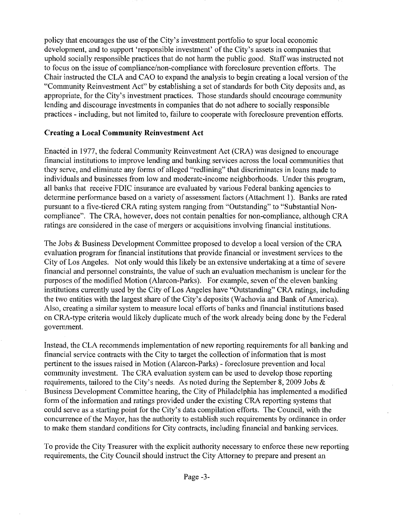policy that encourages the use of the City's investment portfolio to spur local economic development, and to support 'responsible investment' of the City's assets in companies that uphold socially responsible practices that do not harm the public good. Staff was instructed not to focus on the issue of compliance/non-compliance with foreclosure prevention efforts. The Chair instructed the CLA and CAO to expand the analysis to begin creating a local version of the "Community Reinvestment Act" by establishing a set of standards for both City deposits and, as appropriate, for the City's investment practices. Those standards should encourage community lending and discourage investments in companies that do not adhere to socially responsible practices - including, but not limited to, failure to cooperate with foreclosure prevention efforts.

## **Creating a Local Community Reinvestment Act**

Enacted in 1977, the federal Community Reinvestment Act (CRA) was designed to encourage financial institutions to improve lending and banking services across the local communities that they serve, and eliminate any forms of alleged "redlining" that discriminates in loans made to individuals and businesses from low and moderate-income neighborhoods. Under this program, all banks that receive FDIC insurance are evaluated by various Federal banking agencies to determine performance based on a variety of assessment factors (Attachment 1). Banks are rated pursuant to a five-tiered CRA rating system ranging from "Outstanding" to "Substantial Noncompliance", The CRA, however, does not contain penalties for non-compliance, although CRA ratings are considered in the case of mergers or acquisitions involving financial institutions.

The Jobs & Business Development Committee proposed to develop a local version of the CRA evaluation program for financial institutions that provide financial or investment services to the City of Los Angeles. Not only would this likely be an extensive undertaking at a time of severe financial and personnel constraints, the value of such an evaluation mechanism is unclear for the purposes of the modified Motion (Alarcon-Parks), For example, seven of the eleven banking institutions currently used by the City of Los Angeles have "Outstanding" CRA ratings, including the two entities with the largest share of the City's deposits (Wachovia and Bank of America). Also, creating a similar system to measure local efforts of banks and financial institutions based on CRA-type criteria would likely duplicate much of the work already being done by the Federal government.

Instead, the CLA recommends implementation of new reporting requirements for all banking and financial service contracts with the City to target the collection of information that is most pertinent to the issues raised in Motion (Alarcon-Parks) - foreclosure prevention and local community investment. The CRA evaluation system can be used to develop those reporting requirements, tailored to the City's needs. As noted during the September 8, 2009 Jobs  $\&$ Business Development Committee hearing, the City of Philadelphia has implemented a modified form of the information and ratings provided under the existing CRA reporting systems that could serve as a starting point for the City's data compilation efforts. The Council, with the concurrence of the Mayor, has the authority to establish such requirements by ordinance in order to make them standard conditions for City contracts, including financial and banking services.

To provide the City Treasurer with the explicit authority necessary to enforce these new reporting requirements, the City Council should instruct the City Attorney to prepare and present an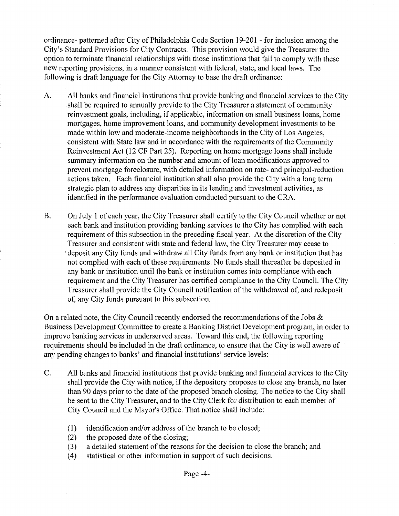ordinance- patterned after City of Philadelphia Code Section 19-201 - for inclusion among the City's Standard Provisions for City Contracts. This provision would give the Treasurer the option to terminate financial relationships with those institutions that fail to comply with these new reporting provisions, in a manner consistent with federal, state, and local laws. The following is draft language for the City Attorney to base the draft ordinance:

- A. All banks and financial institutions that provide banking and financial services to the City .shall be required to annually provide to the City Treasurer a statement of community reinvestment goals, including, if applicable, information on small business loans, home mortgages, home improvement loans, and community development investments to be made within low and moderate-income neighborhoods in the City of Los Angeles, consistent with State law and in accordance with the requirements of the Community Reinvestment Act (12 CF Part 25). Reporting on home mortgage loans shall include summary information on the number and amount of loan modifications approved to prevent mortgage foreclosure, with detailed information on rate- and principal-reduction actions taken. Each financial institution shall also provide the City with a long term strategic plan to address any disparities in its lending and investment activities, as identified in the performance evaluation conducted pursuant to the CRA.
- B. On July 1 of each year, the City Treasurer shall certify to the City Council whether or not each bank and institution providing banking services to the City has complied with each requirement of this subsection in the preceding fiscal year. At the discretion of the City Treasurer and consistent with state and federal law, the City Treasurer may cease to .deposit any City funds and withdraw all City funds from any bank or institution that has not complied with each of these requirements. No funds shall thereafter be deposited in any bank or institution until the bank or institution comes into compliance with each requirement and the City Treasurer has certified compliance to the City Council. The City Treasurer shall provide the City Council notification of the withdrawal of, and redeposit of, any City funds pursuant to this subsection.

On a related note, the City Council recently endorsed the recommendations of the Jobs  $\&$ Business Development Committee to create a Banking District Development program, in order to improve banking services in underserved areas. Toward this end, the following reporting requirements should be included in the draft ordinance, to ensure that the City is well aware of any pending changes to banks' and financial institutions' service levels:

- C. All banks and financial institutions that provide banking and financial services to the City shall provide the City with notice, if the depository proposes to close any branch, no later than 90 days prior to the date of the proposed branch closing. The notice to the City shall be sent to the City Treasurer, and to the City Clerk for distribution to each member of City Council and the Mayor's Office. That notice shall include:
	- (1) identification and/or address of the branch to be closed;
	- (2) the proposed date of the closing;
	- (3) a detailed statement of the reasons for the decision to close the branch; and
	- (4) statistical or other information in support of such decisions.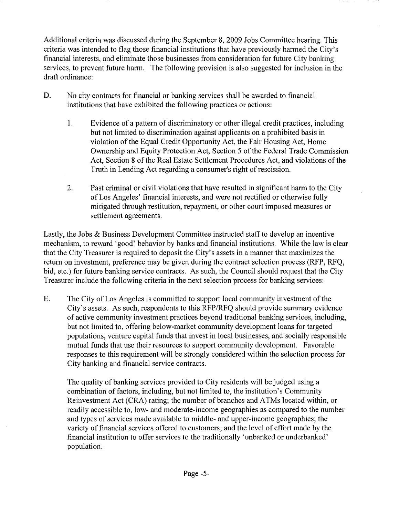Additional criteria was discussed during the September 8,2009 Jobs Committee hearing. This criteria was intended to flag those financial institutions that have previously harmed the City's financial interests, and eliminate those businesses from consideration for future City banking services, to prevent future harm. The following provision is also suggested for inclusion in the draft ordinance:

- D. No city contracts for financial or banking services shall be awarded to financial institutions that have exhibited the following practices or actions:
	- 1. Evidence of a pattern of discriminatory or other illegal credit practices, including but not limited to discrimination against applicants on a prohibited basis in violation of the Equal Credit Opportunity Act, the Fair Housing Act, Home Ownership and Equity Protection Act, Section 5 of the Federal Trade Commission Act, Section 8 of the Real Estate Settlement Procedures Act, and violations of the Truth in Lending Act regarding a consumer's right of rescission.
	- 2. Past criminal or civil violations that have resulted in significant harm to the City of Los Angeles' financial interests, and were not rectified or otherwise fully mitigated through restitution, repayment, or other court imposed measures or settlement agreements.

Lastly, the Jobs & Business Development Committee instructed staff to develop an incentive mechanism, to reward 'good' behavior by banks and financial institutions. While the law is clear that the City Treasurer is required to deposit the City's assets in a manner that maximizes the return on investment, preference may be given during the contract selection process (RFP, RFQ, bid, etc.) for future banking service contracts. As such, the Council should request that the City Treasurer include the following criteria in the next selection process for banking services:

E. The City of Los Angeles is committed to support local community investment of the City's assets. As such, respondents to this *RFP/RFQ* should provide summary evidence of active community investment practices beyond traditional banking services, including, but not limited to, offering below-market community development loans for targeted populations, venture capital funds that invest in local businesses, and socially responsible mutual funds that use their resources to support community development. Favorable responses to this requirement will be strongly considered within the selection process for City banking and financial service contracts.

The quality of banking services provided to City residents will be judged using a combination of factors, including, but not limited to, the institution's Community Reinvestment Act (CRA) rating; the number of branches and ATMs located within, or readily accessible to, low- and moderate-income geographies as compared to the number and types of services made available to middle- and upper-income geographies; the variety of financial services offered to customers; and the level of effort made by the financial institution to offer services to the traditionally 'unbanked or underbanked' population.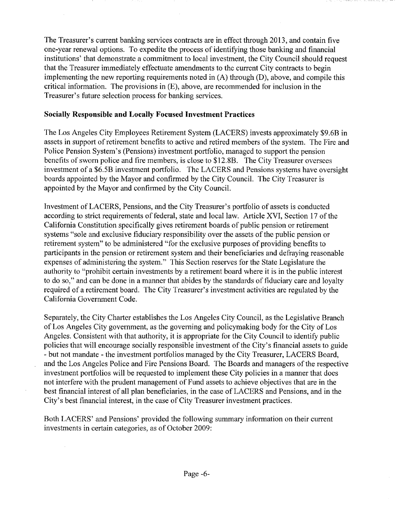The Treasurer's current banking services contracts are in effect through 2013, and contain five one-year renewal options. To expedite the process of identifying those banking and financial institutions' that demonstrate a commitment to local investment, the City Council should request that the Treasurer immediately effectuate amendments to the current City contracts to begin implementing the new reporting requirements noted in  $(A)$  through  $(D)$ , above, and compile this critical information. The provisions in (E), above, are recommended for inclusion in the Treasurer's future selection process for banking services.

## Socially Responsible **and** Locally Focused Investment Practices

The Los Angeles City Employees Retirement System (LACERS) invests approximately \$9.6B in assets in support of retirement benefits to active and retired members of the system. The Fire and Police Pension System's (Pensions) investment portfolio, managed to support the pension benefits of sworn police and fire members, is close to \$12. 8B. The City Treasurer oversees investment of a \$6.5B investment portfolio. The LACERS and Pensions systems have oversight boards appointed by the Mayor and confirmed by the City Council. The City Treasurer is appointed by the Mayor and confirmed by the City Council.

Investment of LACERS, Pensions, and the City Treasurer's portfolio of assets is conducted according to strict requirements of federal, state and local law. Article XVI, Section 17 of the California Constitution specifically gives retirement boards of public pension or retirement systems "sole and exclusive fiduciary responsibility over the assets of the public pension or retirement system" to be administered "for the exclusive purposes of providing benefits to participants in the pension or retirement system and their beneficiaries and defraying reasonable expenses of administering the system." This Section reserves for the State Legislature the authority to "prohibit certain investments by a retirement board where it is in the public interest to do so," and can be done in a manner that abides by the standards of fiduciary care and loyalty required of a retirement board. The City Treasurer's investment activities are regulated by the California Government Code.

Separately, the City Charter establishes the Los Angeles City Council, as the Legislative Branch of Los Angeles City government, as the governing and policymaking body for the City of Los Angeles. Consistent with that authority, it is appropriate for the City Council to identify public policies that will encourage socially responsible investment of the City's financial assets to guide - but not mandate - the investment portfolios managed by the City Treasurer, LACERS Board, and the Los Angeles Police and Fire Pensions Board. The Boards and managers of the respective investment portfolios will be requested to implement these City policies in a manner that does not interfere with the prudent management of Fund assets to achieve objectives that are in the best financial interest of all plan beneficiaries, in the case of LACERS and Pensions, and in the City's best financial interest, in the case of City Treasurer investment practices.

Both LACERS' and Pensions' provided the following summary information on their current investments in certain categories, as of October 2009: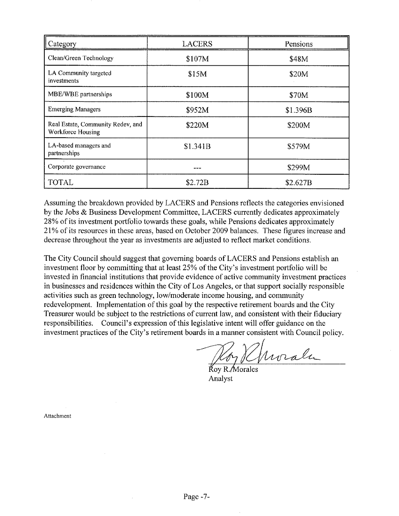| Category                                               | <b>LACERS</b> | Pensions |
|--------------------------------------------------------|---------------|----------|
| Clean/Green Technology                                 | \$107M        | \$48M    |
| LA Community targeted<br>investments                   | \$15M         | \$20M    |
| MBE/WBE partnerships                                   | \$100M        | \$70M    |
| <b>Emerging Managers</b>                               | \$952M        | \$1.396B |
| Real Estate, Community Redev, and<br>Workforce Housing | \$220M        | \$200M   |
| LA-based managers and<br>partnerships                  | \$1.341B      | \$579M   |
| Corporate governance                                   |               | \$299M   |
| TOTAL                                                  | \$2.72B       | \$2.627B |

Assuming the breakdown provided by LACERS and Pensions reflects the categories envisioned by the Jobs & Business Development Committee, LACERS currently dedicates approximately 28% of its investment portfolio towards these goals, while Pensions dedicates approximately 21% of its resources in these areas, based on October 2009 balances. These figures increase and decrease throughout the year as investments are adjusted to reflect market conditions.

The City Council should suggest that governing boards of LACERS and Pensions establish an investment floor by committing that at least 25% of the City's investment portfolio will be invested in financial institutions that provide evidence of active community investment practices in businesses and residences within the City of Los Angeles, or that support socially responsible activities such as green technology, low/moderate income housing, and community redevelopment. Implementation of this goal by the respective retirement boards and the City Treasurer would be subject to the restrictions of current law, and consistent with their fiduciary responsibilities. Council's expression of this legislative intent will offer guidance on the investment practices of the City's retirement boards in a manner consistent with Council policy.

Hoy Khwale

Analyst

Attachment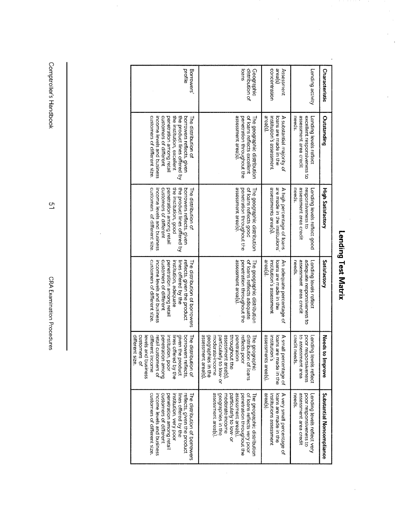| Characteristic            | Lending activity                                                                          | concentration<br>area(s)<br>Assessment                                                      | distribution of<br>ioans<br>Geographic                                                                                                                                                                     | profile<br>Borrowers                                                                                                                                                                                                                        |
|---------------------------|-------------------------------------------------------------------------------------------|---------------------------------------------------------------------------------------------|------------------------------------------------------------------------------------------------------------------------------------------------------------------------------------------------------------|---------------------------------------------------------------------------------------------------------------------------------------------------------------------------------------------------------------------------------------------|
| Outstanding               | assessment area credit<br>needs<br>excellent responsiveness to<br>Lending levels reflect  | area(s)<br>A substantial majority of<br>institution's assessment<br>loans are made in the   | assessment area(s).<br>ot loans reflects excellent<br>penetration throughout the<br>The geographic distribution                                                                                            | customers of different size.<br>customers of different<br>penetration among retail<br>the institution, excellent<br>the product lines offered by<br>income levels and business<br>borrowers reflects, given<br><b>The distribution of</b>   |
| <b>High Satisfactory</b>  | assessment area credit<br>needs<br>esponsiveness to<br>Lending levels reflect good        | assessments area(s).<br>are made in the institutions<br>A high percentage of loans          | assessment area(s).<br>of loans reflects good<br>penetration throughout the<br>The geographic distribution                                                                                                 | customers of different size.<br>the product lines offered by<br>penetration among retail<br>the institution, good<br>customers of different<br>borrowers reflects, given<br>income levels and business<br>he distribution of                |
| Satisfactory              | assessment area credit<br>adequate responsiveness to<br>needs.<br>Lending levels reflect  | area(s).<br>institution's assessment<br>An adequate percentage of<br>loans are made in the  | assessment area(s)<br>The geographic distribution<br>of loans reflects adequate<br>penetration throughout the                                                                                              | customers of different size<br>customers of different<br>penetration among retail<br>The distribution of borrowers<br>income levels and business<br>institution, adequate<br>ines offered by the<br>reflects, given the product             |
| Needs to<br>Improve       | credit needs.<br>to assessment area<br>poor responsiveness<br>ending levels reflect.      | assessments area(s).<br>A small percentage of<br>loans are made in the<br>Institution<br>U) | assessment area(s).<br>geographies in the<br>assessment area(s),<br>throughout the<br>distribution of loans<br>moderate-income<br>particularly to low-or<br>penetration<br>reflects poor<br>lhe geographic | different size.<br>customen<br>given the product<br>borrowers reflects,<br>levels and business<br>different income<br>penetration among<br>retail customers of<br>nstitution, poor<br>ines offered by the<br>The distribution of<br>ين<br>چ |
| Substantial Noncompliance | assessment area credit<br>needs.<br>poor responsiveness to<br>ending levels reflect very. | area(s)<br>A very small percentage of<br>institutions assessment<br>loans are made in the   | assessment area(s).<br>geographies in the<br>assessment area(s),<br>of loans reflects very poor<br>The geographic distribution<br>penetration throughout the<br>particularly to low- or<br>noderate-income | customers of different size.<br>customers of different<br>The distribution of borrowers<br>penetration among retail<br>reflects, given the product<br>income levels and business<br>lines offered by the<br>nstitution, very poor           |

Lending Test Matrix

 $\frac{1}{2}$ 

Comptroller's Handbook

 $\frac{1}{2}$ 

 $\frac{1}{2}$ 

CRA Examination Procedures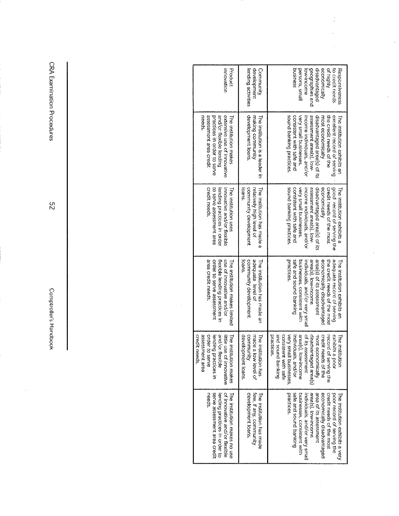| Product<br><b>HTOUSION</b>                                                                                                                        | development<br>Community<br>lending activities                                          | disadvantaged<br>economically<br>of highly<br>geographies and<br>to credit needs<br>Respo <i>rtsiveness</i><br>pusiness<br>persons, smai<br>ow-income                                                                                                                                                       |
|---------------------------------------------------------------------------------------------------------------------------------------------------|-----------------------------------------------------------------------------------------|-------------------------------------------------------------------------------------------------------------------------------------------------------------------------------------------------------------------------------------------------------------------------------------------------------------|
| and/or flexible lending<br>extensive use of innovative<br>assessment area credit<br>practices in order to serve<br>reeas<br>he institution makes  | development loans.<br>naking community<br>he institution is a leader in                 | sound banking practices.<br>consistent with safe and<br>very small businesses,<br>assessment area(s), low-<br>the creat needs of the<br>excellent record of serving<br>disadvantaged area(s) of its<br>ncome individuals, and/or<br>most economically<br>he financial explicit and                          |
| crear needs<br>to serve assessment area<br>lending practices in order<br>nnovative and/or flexible<br>he institution uses                         | community development<br>sueci<br>elatively high level of<br>The institution has made a | sound banking practices.<br>consistent with safe and<br>assessment area(s), low-<br>good record of serving the<br>disadvantaged area(s) of its<br>economically<br>credit needs of the most<br>very small businesses,<br>ncome individuals, and/or<br>he institution exhibits a                              |
| area credit needs.<br>order to serve assessment<br>use of innovative and/or<br>lexible lending practices in<br>he institution makes limited       | adequate level of<br>community development<br>Sugoj<br>The institution has made an      | practices.<br>area(s), low-income<br>the credit needs of the most<br>safe and sound banking<br>area(s) of its assessment<br>economically disadvantaged<br>adequate record of serving<br>businesses, consistent with<br>individuals, and/or very smal<br>he institution exhibits an                          |
| assessment area<br>credit needs.<br>and/or flexible<br>order to serve<br>lending practices in<br>littie use of innovative<br>he institution makes | development loans<br>communty<br>made a low level of<br>The institution has             | prikhrad bruuos bns<br>practices.<br>area(s), low-income<br>of its assessment<br>credit needs of the<br>exhibits a poor<br>porsisteni<br>very small<br>individuals, and/or<br>disadvantaged area(s)<br>nost economically<br>ecord of serving the<br>he institu<br><b>Livith safe</b><br>businesses,<br>tion |
| of innovative and/or flexible<br>serve assessment area credit<br>The institution makes no use<br>neeas<br>lending practices in order to           | development loans.<br>few, if any, community<br>The institution has made                | practices.<br>area(s), low-income<br>individuals, and/or very small<br>safe and sound banking<br>businesses, consistent with<br>area of its assessment<br>economically disadvantaged<br>credit needs of the most<br>poor record of serving the<br>he institution exhibits a very                            |

 $\bar{z}$ 

 $\frac{1}{2}$ 

 $\ddot{\phantom{a}}$ 

CRA Examination Procedures

 $52$ 

Comptroller's Handbook

 $\bar{z}$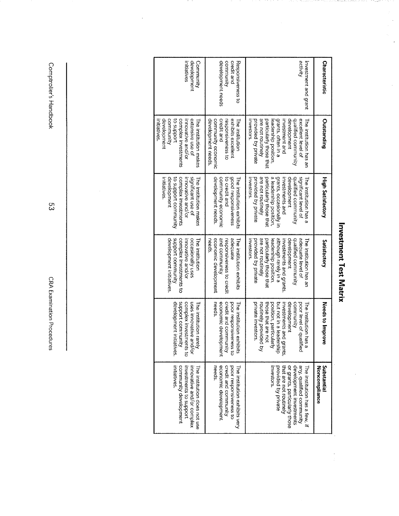Investment Test Matrix

 $\frac{1}{2}$ 

 $\frac{1}{2}$ 

Comptroller's Handbook

 $\ddot{\phantom{0}}$ 

 $53$ 

CRA Examination Procedures